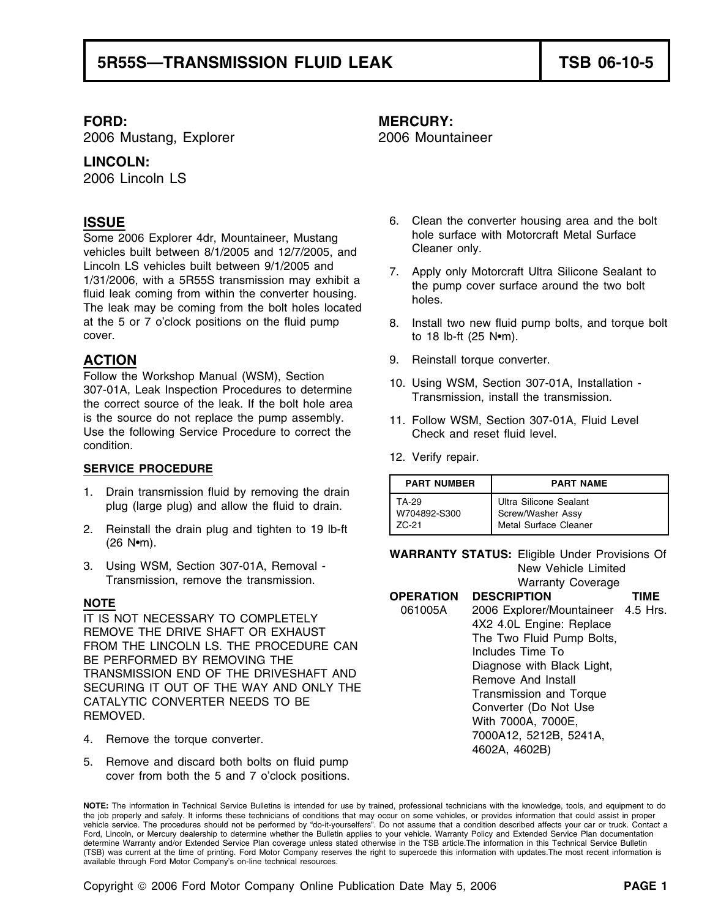2006 Mustang, Explorer 2006 Mountaineer

### **LINCOLN:**

2006 Lincoln LS

Some 2006 Explorer 4dr, Mountaineer, Mustang hole surface with Motorcraft Metal Surface<br>vehicles built between 8/1/2005 and 12/7/2005 and Cleaner only. vehicles built between 8/1/2005 and 12/7/2005, and Lincoln LS vehicles built between 9/1/2005 and<br>1/31/2006, with a 5R55S transmission may exhibit a<br>fluid leak coming from within the converter housing.<br>The leak may be coming from the bolt holes located<br>The leak may be comi at the 5 or 7 o'clock positions on the fluid pump 8. Install two new fluid pump bolts, and torque bolt  $cover.$  to 18 lb-ft (25 N•m).

Follow the Workshop Manual (WSM), Section<br>307-01A, Leak Inspection Procedures to determine<br>the correct source of the leak. If the bolt hole area<br>Transmission, install the transmission. is the source do not replace the pump assembly. 11. Follow WSM, Section 307-01A, Fluid Level Use the following Service Procedure to correct the Check and reset fluid level. condition.

### **SERVICE PROCEDURE**

- 1. Drain transmission fluid by removing the drain plug (large plug) and allow the fluid to drain.
- 2. Reinstall the drain plug and tighten to 19 lb-ft (26 N•m).
- 3. Using WSM, Section 307-01A, Removal New Yehicle Limited Transmission, remove the transmission. Warranty Coverage

- 
- 5. Remove and discard both bolts on fluid pump cover from both the 5 and 7 o'clock positions.

## **FORD: MERCURY:**

- **ISSUE ISSUE ISSUE ISSUE ISSUE ISSUE ISSUE ISSUE** 
	-
	-
- **ACTION** 9. Reinstall torque converter.
	-
	-
	- 12. Verify repair.

| <b>PART NUMBER</b> | <b>PART NAME</b>       |  |  |
|--------------------|------------------------|--|--|
| TA-29              | Ultra Silicone Sealant |  |  |
| W704892-S300       | Screw/Washer Assy      |  |  |
| 7C-21              | Metal Surface Cleaner  |  |  |

**WARRANTY STATUS:** Eligible Under Provisions Of

|                                                                                                                                                                                                                                                                                                                         | <b><i>INCOTATION CONCIDENT</i></b> |                                                                                                                                                                                                                                                                                                 |      |  |
|-------------------------------------------------------------------------------------------------------------------------------------------------------------------------------------------------------------------------------------------------------------------------------------------------------------------------|------------------------------------|-------------------------------------------------------------------------------------------------------------------------------------------------------------------------------------------------------------------------------------------------------------------------------------------------|------|--|
| <b>NOTE</b>                                                                                                                                                                                                                                                                                                             |                                    | <b>OPERATION DESCRIPTION</b>                                                                                                                                                                                                                                                                    | TIME |  |
| IT IS NOT NECESSARY TO COMPLETELY<br>REMOVE THE DRIVE SHAFT OR EXHAUST<br>FROM THE LINCOLN LS. THE PROCEDURE CAN<br>BE PERFORMED BY REMOVING THE<br>TRANSMISSION END OF THE DRIVESHAFT AND<br>SECURING IT OUT OF THE WAY AND ONLY THE<br>CATALYTIC CONVERTER NEEDS TO BE<br>REMOVED.<br>4. Remove the torque converter. | 061005A                            | 2006 Explorer/Mountaineer 4.5 Hrs.<br>4X2 4.0L Engine: Replace<br>The Two Fluid Pump Bolts,<br>Includes Time To<br>Diagnose with Black Light,<br>Remove And Install<br><b>Transmission and Torque</b><br>Converter (Do Not Use<br>With 7000A, 7000E,<br>7000A12, 5212B, 5241A,<br>4602A, 4602B) |      |  |

**NOTE:** The information in Technical Service Bulletins is intended for use by trained, professional technicians with the knowledge, tools, and equipment to do the job properly and safely. It informs these technicians of conditions that may occur on some vehicles, or provides information that could assist in proper vehicle service. The procedures should not be performed by "do-it-yourselfers". Do not assume that a condition described affects your car or truck. Contact a Ford, Lincoln, or Mercury dealership to determine whether the Bulletin applies to your vehicle. Warranty Policy and Extended Service Plan documentation determine Warranty and/or Extended Service Plan coverage unless stated otherwise in the TSB article.The information in this Technical Service Bulletin (TSB) was current at the time of printing. Ford Motor Company reserves the right to supercede this information with updates.The most recent information is available through Ford Motor Company's on-line technical resources.